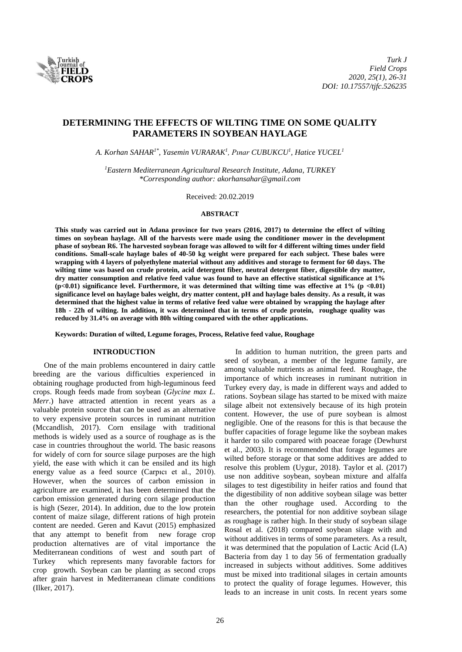

# **DETERMINING THE EFFECTS OF WILTING TIME ON SOME QUALITY PARAMETERS IN SOYBEAN HAYLAGE**

*A. Korhan SAHAR1\* , Yasemin VURARAK<sup>1</sup> , Pınar CUBUKCU<sup>1</sup> , Hatice YUCEL<sup>1</sup>*

*<sup>1</sup>Eastern Mediterranean Agricultural Research Institute, Adana, TURKEY \*Corresponding author: akorhansahar@gmail.com*

Received: 20.02.2019

#### **ABSTRACT**

**This study was carried out in Adana province for two years (2016, 2017) to determine the effect of wilting times on soybean haylage. All of the harvests were made using the conditioner mower in the development phase of soybean R6. The harvested soybean forage was allowed to wilt for 4 different wilting times under field conditions. Small-scale haylage bales of 40-50 kg weight were prepared for each subject. These bales were wrapping with 4 layers of polyethylene material without any additives and storage to ferment for 60 days. The wilting time was based on crude protein, acid detergent fiber, neutral detergent fiber, digestible dry matter, dry matter consumption and relative feed value was found to have an effective statistical significance at 1% (p<0.01) significance level. Furthermore, it was determined that wilting time was effective at 1% (p <0.01) significance level on haylage bales weight, dry matter content, pH and haylage bales density. As a result, it was determined that the highest value in terms of relative feed value were obtained by wrapping the haylage after 18h - 22h of wilting. In addition, it was determined that in terms of crude protein, roughage quality was reduced by 31.4% on average with 80h wilting compared with the other applications.**

**Keywords: Duration of wilted, Legume forages, Process, Relative feed value, Roughage**

## **INTRODUCTION**

One of the main problems encountered in dairy cattle breeding are the various difficulties experienced in obtaining roughage producted from high-leguminous feed crops. Rough feeds made from soybean (*Glycine max L. Merr.*) have attracted attention in recent years as a valuable protein source that can be used as an alternative to very expensive protein sources in ruminant nutrition (Mccandlish, 2017). Corn ensilage with traditional methods is widely used as a source of roughage as is the case in countries throughout the world. The basic reasons for widely of corn for source silage purposes are the high yield, the ease with which it can be ensiled and its high energy value as a feed source (Carpıcı et al., 2010). However, when the sources of carbon emission in agriculture are examined, it has been determined that the carbon emission generated during corn silage production is high (Sezer, 2014). In addition, due to the low protein content of maize silage, different rations of high protein content are needed. Geren and Kavut (2015) emphasized that any attempt to benefit from new forage crop production alternatives are of vital importance the Mediterranean conditions of west and south part of Turkey which represents many favorable factors for crop growth. Soybean can be planting as second crops after grain harvest in Mediterranean climate conditions (Ilker, 2017).

In addition to human nutrition, the green parts and seed of soybean, a member of the legume family, are among valuable nutrients as animal feed. Roughage, the importance of which increases in ruminant nutrition in Turkey every day, is made in different ways and added to rations. Soybean silage has started to be mixed with maize silage albeit not extensively because of its high protein content. However, the use of pure soybean is almost negligible. One of the reasons for this is that because the buffer capacities of forage legume like the soybean makes it harder to silo compared with poaceae forage (Dewhurst et al., 2003). It is recommended that forage legumes are wilted before storage or that some additives are added to resolve this problem (Uygur, 2018). Taylor et al. (2017) use non additive soybean, soybean mixture and alfalfa silages to test digestibility in heifer ratios and found that the digestibility of non additive soybean silage was better than the other roughage used. According to the researchers, the potential for non additive soybean silage as roughage is rather high. In their study of soybean silage Rosal et al. (2018) compared soybean silage with and without additives in terms of some parameters. As a result, it was determined that the population of Lactic Acid (LA) Bacteria from day 1 to day 56 of fermentation gradually increased in subjects without additives. Some additives must be mixed into traditional silages in certain amounts to protect the quality of forage legumes. However, this leads to an increase in unit costs. In recent years some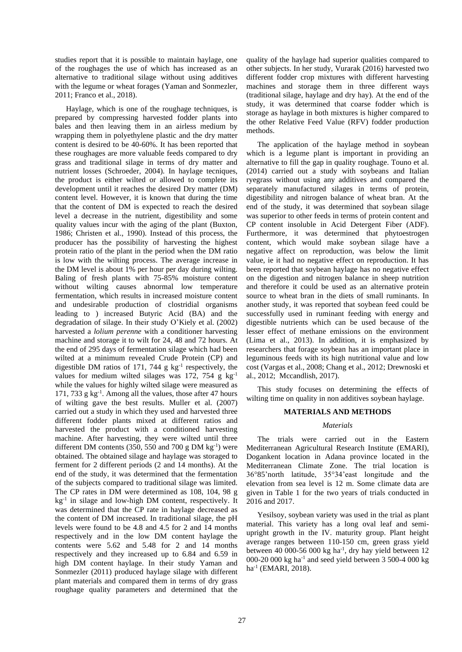studies report that it is possible to maintain haylage, one of the roughages the use of which has increased as an alternative to traditional silage without using additives with the legume or wheat forages (Yaman and Sonmezler, 2011; Franco et al., 2018).

Haylage, which is one of the roughage techniques, is prepared by compressing harvested fodder plants into bales and then leaving them in an airless medium by wrapping them in polyethylene plastic and the dry matter content is desired to be 40-60%. It has been reported that these roughages are more valuable feeds compared to dry grass and traditional silage in terms of dry matter and nutrient losses (Schroeder, 2004). In haylage tecniques, the product is either wilted or allowed to complete its development until it reaches the desired Dry matter (DM) content level. However, it is known that during the time that the content of DM is expected to reach the desired level a decrease in the nutrient, digestibility and some quality values incur with the aging of the plant (Buxton, 1986; Christen et al., 1990). Instead of this process, the producer has the possibility of harvesting the highest protein ratio of the plant in the period when the DM ratio is low with the wilting process. The average increase in the DM level is about 1% per hour per day during wilting. Baling of fresh plants with 75-85% moisture content without wilting causes abnormal low temperature fermentation, which results in increased moisture content and undesirable production of clostridial organisms leading to ) increased Butyric Acid (BA) and the degradation of silage. In their study O'Kiely et al. (2002) harvested a *lolium perenne* with a conditioner harvesting machine and storage it to wilt for 24, 48 and 72 hours. At the end of 295 days of fermentation silage which had been wilted at a minimum revealed Crude Protein (CP) and digestible DM ratios of 171, 744  $g$  kg<sup>-1</sup> respectively, the values for medium wilted silages was 172, 754 g  $kg^{-1}$ while the values for highly wilted silage were measured as 171, 733 g kg-1 . Among all the values, those after 47 hours of wilting gave the best results. Muller et al. (2007) carried out a study in which they used and harvested three different fodder plants mixed at different ratios and harvested the product with a conditioned harvesting machine. After harvesting, they were wilted until three different DM contents (350, 550 and 700 g DM  $kg^{-1}$ ) were obtained. The obtained silage and haylage was storaged to ferment for 2 different periods (2 and 14 months). At the end of the study, it was determined that the fermentation of the subjects compared to traditional silage was limited. The CP rates in DM were determined as 108, 104, 98 g kg<sup>-1</sup> in silage and low-high DM content, respectively. It was determined that the CP rate in haylage decreased as the content of DM increased. In traditional silage, the pH levels were found to be 4.8 and 4.5 for 2 and 14 months respectively and in the low DM content haylage the contents were 5.62 and 5.48 for 2 and 14 months respectively and they increased up to 6.84 and 6.59 in high DM content haylage. In their study Yaman and Sonmezler (2011) produced haylage silage with different plant materials and compared them in terms of dry grass roughage quality parameters and determined that the

quality of the haylage had superior qualities compared to other subjects. In her study, Vurarak (2016) harvested two different fodder crop mixtures with different harvesting machines and storage them in three different ways (traditional silage, haylage and dry hay). At the end of the study, it was determined that coarse fodder which is storage as haylage in both mixtures is higher compared to the other Relative Feed Value (RFV) fodder production methods.

The application of the haylage method in soybean which is a legume plant is important in providing an alternative to fill the gap in quality roughage. Touno et al. (2014) carried out a study with soybeans and Italian ryegrass without using any additives and compared the separately manufactured silages in terms of protein, digestibility and nitrogen balance of wheat bran. At the end of the study, it was determined that soybean silage was superior to other feeds in terms of protein content and CP content insoluble in Acid Detergent Fiber (ADF). Furthermore, it was determined that phytoestrogen content, which would make soybean silage have a negative affect on reproduction, was below the limit value, ie it had no negative effect on reproduction. It has been reported that soybean haylage has no negative effect on the digestion and nitrogen balance in sheep nutrition and therefore it could be used as an alternative protein source to wheat bran in the diets of small ruminants. In another study, it was reported that soybean feed could be successfully used in ruminant feeding with energy and digestible nutrients which can be used because of the lesser effect of methane emissions on the environment (Lima et al., 2013). In addition, it is emphasized by researchers that forage soybean has an important place in leguminous feeds with its high nutritional value and low cost (Vargas et al., 2008; Chang et al., 2012; Drewnoski et al., 2012; Mccandlish, 2017).

This study focuses on determining the effects of wilting time on quality in non additives soybean haylage.

## **MATERIALS AND METHODS**

#### *Materials*

The trials were carried out in the Eastern Mediterranean Agricultural Research Institute (EMARI), Dogankent location in Adana province located in the Mediterranean Climate Zone. The trial location is 36°85'north latitude, 35°34'east longitude and the elevation from sea level is 12 m. Some climate data are given in Table 1 for the two years of trials conducted in 2016 and 2017.

Yesilsoy, soybean variety was used in the trial as plant material. This variety has a long oval leaf and semiupright growth in the IV. maturity group. Plant height average ranges between 110-150 cm, green grass yield between 40 000-56 000 kg ha<sup>-1</sup>, dry hay yield between 12 000-20 000 kg ha-1 and seed yield between 3 500-4 000 kg ha<sup>-1</sup> (EMARI, 2018).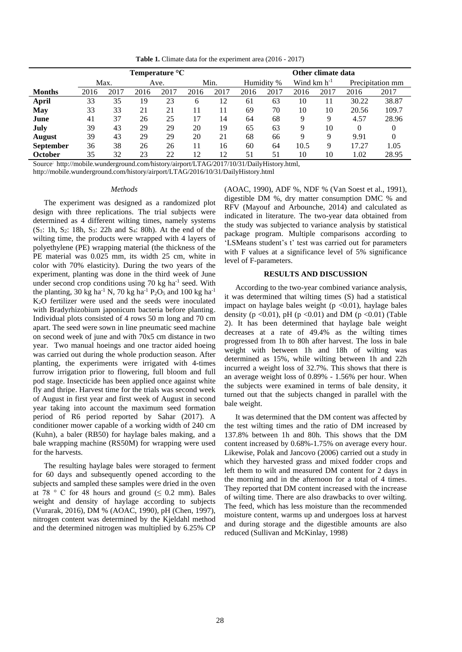**Table 1.** Climate data for the experiment area (2016 - 2017)

|                  | Temperature $\mathrm{C}$ |      |      |      |      |      |            | Other climate data |                  |      |                  |       |  |  |
|------------------|--------------------------|------|------|------|------|------|------------|--------------------|------------------|------|------------------|-------|--|--|
|                  | Max.                     |      | Ave. |      | Min. |      | Humidity % |                    | Wind $km h^{-1}$ |      | Precipitation mm |       |  |  |
| <b>Months</b>    | 2016                     | 2017 | 2016 | 2017 | 2016 | 2017 | 2016       | 2017               | 2016             | 2017 | 2016             | 2017  |  |  |
| April            | 33                       | 35   | 19   | 23   | 6    | 12   | 61         | 63                 | 10               | 11   | 30.22            | 38.87 |  |  |
| May              | 33                       | 33   | 21   | 21   | 11   | 11   | 69         | 70                 | 10               | 10   | 20.56            | 109.7 |  |  |
| June             | 41                       | 37   | 26   | 25   |      | 14   | 64         | 68                 | 9                | Q    | 4.57             | 28.96 |  |  |
| July             | 39                       | 43   | 29   | 29   | 20   | 19   | 65         | 63                 | Q                | 10   | 0                | 0     |  |  |
| <b>August</b>    | 39                       | 43   | 29   | 29   | 20   | 21   | 68         | 66                 | 9                | 9    | 9.91             | 0     |  |  |
| <b>September</b> | 36                       | 38   | 26   | 26   | 11   | 16   | 60         | 64                 | 10.5             | 9    | 17.27            | 1.05  |  |  |
| October          | 35                       | 32   | 23   | 22   | 12   | 12   | 51         | 51                 | 10               | 10   | 1.02             | 28.95 |  |  |

Source: [http://mobile.wunderground.com/history/airport/LTAG/2017/10/31/DailyHistory.html,](http://mobile.wunderground.com/history/airport/LTAG/2017/10/31/DailyHistory.html)

<http://mobile.wunderground.com/history/airport/LTAG/2016/10/31/DailyHistory.html>

# *Methods*

The experiment was designed as a randomized plot design with three replications. The trial subjects were determined as 4 different wilting times, namely systems  $(S_1: 1h, S_2: 18h, S_3: 22h$  and  $S_4: 80h$ ). At the end of the wilting time, the products were wrapped with 4 layers of polyethylene (PE) wrapping material (the thickness of the PE material was 0.025 mm, its width 25 cm, white in color with 70% elasticity). During the two years of the experiment, planting was done in the third week of June under second crop conditions using 70 kg ha<sup>-1</sup> seed. With the planting, 30 kg ha<sup>-1</sup> N, 70 kg ha<sup>-1</sup> P<sub>2</sub>O<sub>5</sub> and 100 kg ha<sup>-1</sup> K2O fertilizer were used and the seeds were inoculated with Bradyrhizobium japonicum bacteria before planting. Individual plots consisted of 4 rows 50 m long and 70 cm apart. The seed were sown in line pneumatic seed machine on second week of june and with 70x5 cm distance in two year. Two manual hoeings and one tractor aided hoeing was carried out during the whole production season. After planting, the experiments were irrigated with 4-times furrow irrigation prior to flowering, full bloom and full pod stage. Insecticide has been applied once against white fly and thripe. Harvest time for the trials was second week of August in first year and first week of August in second year taking into account the maximum seed formation period of R6 period reported by Sahar (2017). A conditioner mower capable of a working width of 240 cm (Kuhn), a baler (RB50) for haylage bales making, and a bale wrapping machine (RS50M) for wrapping were used for the harvests.

The resulting haylage bales were storaged to ferment for 60 days and subsequently opened according to the subjects and sampled these samples were dried in the oven at 78 ° C for 48 hours and ground  $( \leq 0.2$  mm). Bales weight and density of haylage according to subjects (Vurarak, 2016), DM % (AOAC, 1990), pH (Chen, 1997), nitrogen content was determined by the Kjeldahl method and the determined nitrogen was multiplied by 6.25% CP

(AOAC, 1990), ADF %, NDF % (Van Soest et al., 1991), digestible DM %, dry matter consumption DMC % and RFV (Mayouf and Arbounche, 2014) and calculated as indicated in literature. The two-year data obtained from the study was subjected to variance analysis by statistical package program. Multiple comparisons according to 'LSMeans student's t' test was carried out for parameters with F values at a significance level of 5% significance level of F-parameters.

# **RESULTS AND DISCUSSION**

According to the two-year combined variance analysis, it was determined that wilting times (S) had a statistical impact on haylage bales weight  $(p \le 0.01)$ , haylage bales density ( $p \le 0.01$ ),  $pH$  ( $p \le 0.01$ ) and DM ( $p \le 0.01$ ) (Table 2). It has been determined that haylage bale weight decreases at a rate of 49.4% as the wilting times progressed from 1h to 80h after harvest. The loss in bale weight with between 1h and 18h of wilting was determined as 15%, while wilting between 1h and 22h incurred a weight loss of 32.7%. This shows that there is an average weight loss of 0.89% - 1.56% per hour. When the subjects were examined in terms of bale density, it turned out that the subjects changed in parallel with the bale weight.

It was determined that the DM content was affected by the test wilting times and the ratio of DM increased by 137.8% between 1h and 80h. This shows that the DM content increased by 0.68%-1.75% on average every hour. Likewise, Polak and Jancovo (2006) carried out a study in which they harvested grass and mixed fodder crops and left them to wilt and measured DM content for 2 days in the morning and in the afternoon for a total of 4 times. They reported that DM content increased with the increase of wilting time. There are also drawbacks to over wilting. The feed, which has less moisture than the recommended moisture content, warms up and undergoes loss at harvest and during storage and the digestible amounts are also reduced (Sullivan and McKinlay, 1998)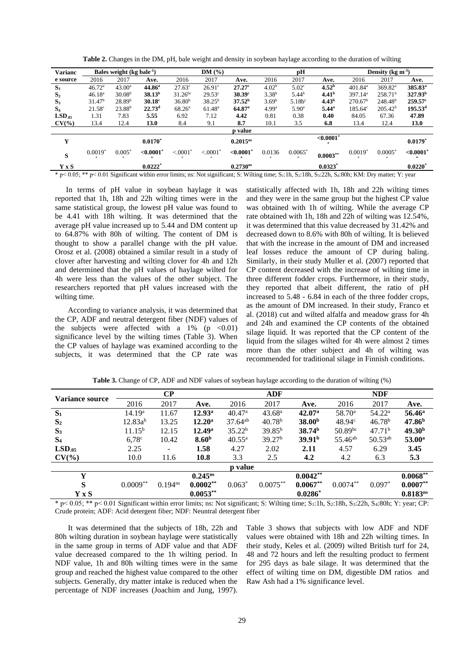| <b>Varianc</b>                                                                                                                                                                                             |                    | Bales weight $(kg$ bale <sup>-1</sup> ) |                       |                        |                 | DM(%)<br>рH          |                   |                       |                   | Density (kg m <sup>-3</sup> ) |                     |                       |  |
|------------------------------------------------------------------------------------------------------------------------------------------------------------------------------------------------------------|--------------------|-----------------------------------------|-----------------------|------------------------|-----------------|----------------------|-------------------|-----------------------|-------------------|-------------------------------|---------------------|-----------------------|--|
| e source                                                                                                                                                                                                   | 2016               | 2017                                    | Ave.                  | 2016                   | 2017            | Ave.                 | 2016              | 2017                  | Ave.              | 2016                          | 2017                | Ave.                  |  |
| $S_1$                                                                                                                                                                                                      | 46.72 <sup>a</sup> | 43.00 <sup>a</sup>                      | $44.86^{\circ}$       | $27.63^{\circ}$        | $26.91^\circ$   | $27.27$ <sup>c</sup> | 4.02 <sup>b</sup> | 5.02 <sup>c</sup>     | 4.52 <sup>b</sup> | $401.84$ <sup>a</sup>         | 369.82 <sup>a</sup> | 385.83 <sup>a</sup>   |  |
| S <sub>2</sub>                                                                                                                                                                                             | 46.18 <sup>a</sup> | 30.08 <sup>b</sup>                      | 38.13 <sup>b</sup>    | $31.26^{bc}$           | $29.53^{\circ}$ | $30.39^{\circ}$      | $3.38^{b}$        | 5.44 <sup>b</sup>     | 4.41 <sup>b</sup> | 397.14 <sup>a</sup>           | 258.71 <sup>b</sup> | 327.93 <sup>b</sup>   |  |
| $S_3$                                                                                                                                                                                                      | 31.47 <sup>b</sup> | 28.89 <sup>b</sup>                      | $30.18$ <sup>c</sup>  | 36.80 <sup>b</sup>     | $38.25^{b}$     | 37.52 <sup>b</sup>   | 3.69 <sup>b</sup> | $5.18b^c$             | 4.43 <sup>b</sup> | 270.67 <sup>b</sup>           | $248.48^{b}$        | $259.57^{\circ}$      |  |
| $S_4$                                                                                                                                                                                                      | $21.58^{\circ}$    | $23.88^{b}$                             | 22.73 <sup>d</sup>    | $68.26^{\circ}$        | $61.48^{\rm a}$ | $64.87$ <sup>a</sup> | 4.99 <sup>a</sup> | $5.90^{\circ}$        | $5.44^{\circ}$    | $185.64^{\circ}$              | 205.42 <sup>b</sup> | $195.53^d$            |  |
| $LSD_{.05}$                                                                                                                                                                                                | 1.31               | 7.83                                    | 5.55                  | 6.92                   | 7.12            | 4.42                 | 0.81              | 0.38                  | 0.40              | 84.05                         | 67.36               | 47.89                 |  |
| $CV(\% )$                                                                                                                                                                                                  | 13.4               | 12.4                                    | 13.0                  | 8.4                    | 9.1             | 8.7                  | 10.1              | 3.5                   | 6.8               | 13.4                          | 12.4                | <b>13.0</b>           |  |
|                                                                                                                                                                                                            |                    |                                         |                       |                        |                 | p value              |                   |                       |                   |                               |                     |                       |  |
| Y                                                                                                                                                                                                          |                    |                                         | $0.0170*$             |                        |                 | $0.2015^{ns}$        |                   |                       | <,0.0001          |                               |                     | $0.0179*$             |  |
| S                                                                                                                                                                                                          | $0.0019*$          | $0.005*$                                | ${<}0.0001$           | $< .0001$ <sup>*</sup> | < 0.0001        | ${<}0.0001^*$        | 0.0136            | $0.0065$ <sup>*</sup> | $0.0003***$       | $0.0019^*$                    | $0.0005^*$          | ${<}0.0001$           |  |
| Y x S                                                                                                                                                                                                      |                    |                                         | $0.0222$ <sup>*</sup> |                        |                 | 0.2730 <sup>ns</sup> |                   |                       | $0.0323^*$        |                               |                     | $0.0220$ <sup>*</sup> |  |
| $*$ p< 0.05; $*$ p< 0.01 Significant within error limits; ns: Not significant; S: Wilting time; S <sub>1</sub> :1h, S <sub>2</sub> :18h, S <sub>3</sub> :22h, S <sub>4</sub> :80h; KM: Dry matter; Y: year |                    |                                         |                       |                        |                 |                      |                   |                       |                   |                               |                     |                       |  |

Table 2. Changes in the DM, pH, bale weight and density in soybean haylage according to the duration of wilting

In terms of pH value in soybean haylage it was reported that 1h, 18h and 22h wilting times were in the same statistical group, the lowest pH value was found to be 4.41 with 18h wilting. It was determined that the average pH value increased up to 5.44 and DM content up to 64.87% with 80h of wilting. The content of DM is thought to show a parallel change with the pH value. Orosz et al. (2008) obtained a similar result in a study of clover after harvesting and wilting clover for 4h and 12h and determined that the pH values of haylage wilted for 4h were less than the values of the other subject. The researchers reported that pH values increased with the wilting time.

According to variance analysis, it was determined that the CP, ADF and neutral detergent fiber (NDF) values of the subjects were affected with a  $1\%$  (p <0.01) significance level by the wilting times (Table 3). When the CP values of haylage was examined according to the subjects, it was determined that the CP rate was statistically affected with 1h, 18h and 22h wilting times and they were in the same group but the highest CP value was obtained with 1h of wilting. While the average CP rate obtained with 1h, 18h and 22h of wilting was 12.54%, it was determined that this value decreased by 31.42% and decreased down to 8.6% with 80h of wilting. It is believed that with the increase in the amount of DM and increased leaf losses reduce the amount of CP during baling. Similarly, in their study Muller et al. (2007) reported that CP content decreased with the increase of wilting time in three different fodder crops. Furthermore, in their study, they reported that albeit different, the ratio of pH increased to 5.48 - 6.84 in each of the three fodder crops, as the amount of DM increased. In their study, Franco et al. (2018) cut and wilted alfalfa and meadow grass for 4h and 24h and examined the CP contents of the obtained silage liquid. It was reported that the CP content of the liquid from the silages wilted for 4h were almost 2 times more than the other subject and 4h of wilting was recommended for traditional silage in Finnish conditions.

| <b>Variance source</b> |                    | $\bf CP$     |                    |                    | <b>ADF</b>         |                    | <b>NDF</b>          |                    |                      |
|------------------------|--------------------|--------------|--------------------|--------------------|--------------------|--------------------|---------------------|--------------------|----------------------|
|                        | 2016               | 2017         | Ave.               | 2016               | 2017               | Ave.               | 2016                | 2017               | Ave.                 |
| $S_1$                  | 14.19 <sup>a</sup> | 11.67        | 12.93 <sup>a</sup> | 40.47 <sup>a</sup> | 43.68 <sup>a</sup> | 42.07 <sup>a</sup> | $58.70^{\circ}$     | $54.22^{\rm a}$    | 56.46 <sup>a</sup>   |
| S <sub>2</sub>         | $12.83a^{b}$       | 13.25        | $12.20^{\rm a}$    | $37.64^{ab}$       | 40.78 <sup>b</sup> | 38.00 <sup>b</sup> | $48.94^{\circ}$     | 46.78 <sup>b</sup> | 47.86 <sup>b</sup>   |
| S <sub>3</sub>         | $11.15^{b}$        | 12.15        | 12.49 <sup>a</sup> | 35.22 <sup>b</sup> | $39.85^{b}$        | 38.74 <sup>b</sup> | $50.89^{bc}$        | 47.71 <sup>b</sup> | 49.30 <sup>b</sup>   |
| S <sub>4</sub>         | $6,78^\circ$       | 10.42        | 8.60 <sup>b</sup>  | $40.55^{\rm a}$    | 39.27 <sup>b</sup> | 39.91 <sup>b</sup> | 55.46 <sup>ab</sup> | $50.53^{ab}$       | $53.00^{\rm a}$      |
| LSD.05                 | 2.25               |              | 1.58               | 4.27               | 2.02               | 2.11               | 4.57                | 6.29               | 3.45                 |
| $CV(\% )$              | 10.0               | 11.6         | 10.8               | 3.3                | 2.5                | 4.2                | 4.2                 | 6.3                | 5.3                  |
|                        |                    |              |                    | p value            |                    |                    |                     |                    |                      |
| Y                      |                    |              | $0.245^{ns}$       |                    |                    | $0.0042**$         |                     |                    | $0.0068***$          |
| S                      | $0.0009**$         | $0.194^{ns}$ | $0.0002**$         | $0.063*$           | $0.0075***$        | $0.0067**$         | $0.0074**$          | $0.097*$           | $0.0007**$           |
| Y x S                  |                    |              | $0.0053**$         |                    |                    | $0.0286^*$         |                     |                    | 0.8183 <sup>ns</sup> |

**Table 3.** Change of CP, ADF and NDF values of soybean haylage according to the duration of wilting (%)

 $*$  p< 0.05; \*\* p< 0.01 Significant within error limits; ns: Not significant; S: Wilting time; S<sub>1</sub>:1h, S<sub>2</sub>:18h, S<sub>3</sub>:22h, S<sub>4</sub>:80h; Y: year; CP: Crude protein; ADF: Acid detergent fiber; NDF: Neuntral detergent fiber

It was determined that the subjects of 18h, 22h and 80h wilting duration in soybean haylage were statistically in the same group in terms of ADF value and that ADF value decreased compared to the 1h wilting period. In NDF value, 1h and 80h wilting times were in the same group and reached the highest value compared to the other subjects. Generally, dry matter intake is reduced when the percentage of NDF increases (Joachim and Jung, 1997). Table 3 shows that subjects with low ADF and NDF values were obtained with 18h and 22h wilting times. In their study, Keles et al. (2009) wilted British turf for 24, 48 and 72 hours and left the resulting product to ferment for 295 days as bale silage. It was determined that the effect of wilting time on DM, digestible DM ratios and Raw Ash had a 1% significance level.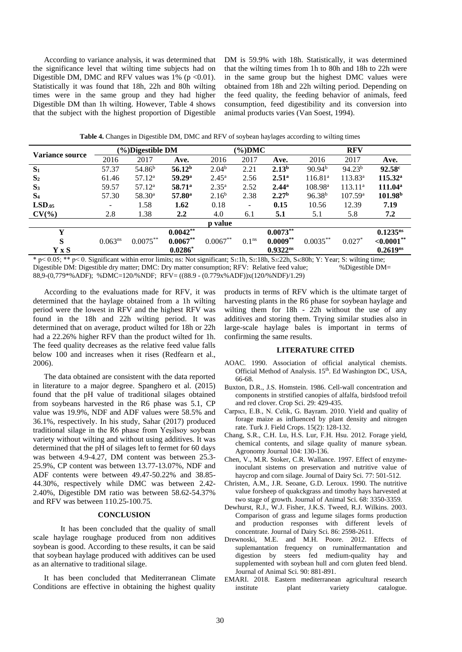According to variance analysis, it was determined that the significance level that wilting time subjects had on Digestible DM, DMC and RFV values was  $1\%$  (p < 0.01). Statistically it was found that 18h, 22h and 80h wilting times were in the same group and they had higher Digestible DM than 1h wilting. However, Table 4 shows that the subject with the highest proportion of Digestible

DM is 59.9% with 18h. Statistically, it was determined that the wilting times from 1h to 80h and 18h to 22h were in the same group but the highest DMC values were obtained from 18h and 22h wilting period. Depending on the feed quality, the feeding behavior of animals, feed consumption, feed digestibility and its conversion into animal products varies (Van Soest, 1994).

| Variance source |                          | (%)Digestible DM   |                    |                   | $(\%$ )DMC               |                   | <b>RFV</b>          |                     |                     |  |
|-----------------|--------------------------|--------------------|--------------------|-------------------|--------------------------|-------------------|---------------------|---------------------|---------------------|--|
|                 | 2016                     | 2017               | Ave.               | 2016              | 2017                     | Ave.              | 2016                | 2017                | Ave.                |  |
| $S_1$           | 57.37                    | 54.86 <sup>b</sup> | 56.12 <sup>b</sup> | 2.04 <sup>b</sup> | 2.21                     | 2.13 <sup>b</sup> | 90.94 <sup>b</sup>  | 94.23 <sup>b</sup>  | 92.58c              |  |
| S <sub>2</sub>  | 61.46                    | $57.12^a$          | 59.29 <sup>a</sup> | $2.45^{\rm a}$    | 2.56                     | $2.51^{\circ}$    | 116.81 <sup>a</sup> | $113.83^a$          | $115.32^{\rm a}$    |  |
| $S_3$           | 59.57                    | $57.12^a$          | $58.71^{\circ}$    | $2.35^{\rm a}$    | 2.52                     | $2.44^{\rm a}$    | $108.98^{\rm a}$    | 113.11 <sup>a</sup> | 111.04 <sup>a</sup> |  |
| S <sub>4</sub>  | 57.30                    | 58.30 <sup>a</sup> | $57.80^{\rm a}$    | 2.16 <sup>b</sup> | 2.38                     | 2.27 <sup>b</sup> | 96.38 <sup>b</sup>  | 107.59 <sup>a</sup> | 101.98 <sup>b</sup> |  |
| LSD.05          | $\overline{\phantom{a}}$ | 1.58               | 1.62               | 0.18              | $\overline{\phantom{0}}$ | 0.15              | 10.56               | 12.39               | 7.19                |  |
| $CV(\%)$        | 2.8                      | 1.38               | $2.2\phantom{0}$   | 4.0               | 6.1                      | 5.1               | 5.1                 | 5.8                 | 7.2                 |  |
|                 |                          |                    |                    | <b>p</b> value    |                          |                   |                     |                     |                     |  |
| Y               |                          |                    | $0.0042**$         |                   |                          | $0.0073**$        |                     |                     | $0.1235^{ns}$       |  |
| S               | $0.063^{ns}$             | $0.0075***$        | $0.0067**$         | $0.0067**$        | 0.1 <sup>ns</sup>        | $0.0009**$        | $0.0035***$         | $0.027*$            | $<,0.0001**$        |  |
| Y x S           |                          |                    | $0.0286*$          |                   |                          | $0.9322^{ns}$     |                     |                     | $0.2619^{ns}$       |  |

Table 4. Changes in Digestible DM, DMC and RFV of soybean haylages according to wilting times

 $*$  p < 0.05; \*\* p < 0. Significant within error limits; ns: Not significant; S<sub>1</sub>:1h, S<sub>2</sub>:18h, S<sub>3</sub>:22h, S<sub>4</sub>:80h; Y: Year; S; wilting time; Digestible DM: Digestible dry matter; DMC: Dry matter consumption; RFV: Relative feed value; %Digestible DM= 88,9-(0,779\*%ADF); %DMC=120/%NDF; RFV=((88.9 - (0.779x%ADF))x(120/%NDF)/1.29)

According to the evaluations made for RFV, it was determined that the haylage obtained from a 1h wilting period were the lowest in RFV and the highest RFV was found in the 18h and 22h wilting period. It was determined that on average, product wilted for 18h or 22h had a 22.26% higher RFV than the product wilted for 1h. The feed quality decreases as the relative feed value falls below 100 and increases when it rises (Redfearn et al.,  $2006$ ).

The data obtained are consistent with the data reported in literature to a major degree. Spanghero et al. (2015) found that the pH value of traditional silages obtained from sovbeans harvested in the R6 phase was 5.1. CP value was 19.9%, NDF and ADF values were 58.5% and 36.1%, respectively. In his study, Sahar (2017) produced traditional silage in the R6 phase from Yeşilsoy soybean variety without wilting and without using additives. It was determined that the pH of silages left to fermet for 60 days was between 4.9-4.27, DM content was between 25.3-25.9%, CP content was between 13.77-13.07%, NDF and ADF contents were between 49.47-50.22% and 38.85-44.30%, respectively while DMC was between 2.42-2.40%, Digestible DM ratio was between 58.62-54.37% and RFV was between 110.25-100.75.

# **CONCLUSION**

It has been concluded that the quality of small scale haylage roughage produced from non additives soybean is good. According to these results, it can be said that soybean haylage produced with additives can be used as an alternative to traditional silage.

It has been concluded that Mediterranean Climate Conditions are effective in obtaining the highest quality products in terms of RFV which is the ultimate target of harvesting plants in the R6 phase for soybean haylage and wilting them for 18h - 22h without the use of any additives and storing them. Trying similar studies also in large-scale haylage bales is important in terms of confirming the same results.

# **LITERATURE CITED**

- AOAC. 1990. Association of official analytical chemists. Official Method of Analysis. 15th. Ed Washington DC, USA, 66-68
- Buxton, D.R., J.S. Homstein. 1986. Cell-wall concentration and components in strstified canopies of alfalfa, birdsfood trefoil and red clover. Crop Sci. 29: 429-435.
- Carpici, E.B., N. Celik, G. Bayram. 2010. Yield and quality of forage maize as influenced by plant density and nitrogen rate. Turk J. Field Crops. 15(2): 128-132.
- Chang, S.R., C.H. Lu, H.S. Lur, F.H. Hsu. 2012. Forage yield, chemical contents, and silage quality of manure sybean. Agronomy Journal 104: 130-136.
- Chen, V., M.R. Stoker, C.R. Wallance. 1997. Effect of enzymeinoculant sistems on preservation and nutritive value of haycrop and corn silage. Journal of Dairy Sci. 77: 501-512.
- Christen, A.M., J.R. Seoane, G.D. Leroux. 1990. The nutritive value forsheep of quakckgrass and timothy hays harvested at two stage of growth. Journal of Animal Sci. 68: 3350-3359.
- Dewhurst, R.J., W.J. Fisher, J.K.S. Tweed, R.J. Wilkins. 2003. Comparison of grass and legume silages forms production and production responses with different levels of concentrate. Journal of Dairy Sci. 86: 2598-2611.
- Drewnoski, M.E. and M.H. Poore. 2012. Effects of suplemantation frequency on ruminalfermantation and digestion by steers fed medium-quality hay and supplemented with soybean hull and corn gluten feed blend. Journal of Animal Sci. 90: 881-891.
- EMARI. 2018. Eastern mediterranean agricultural research institute plant variety catalogue.